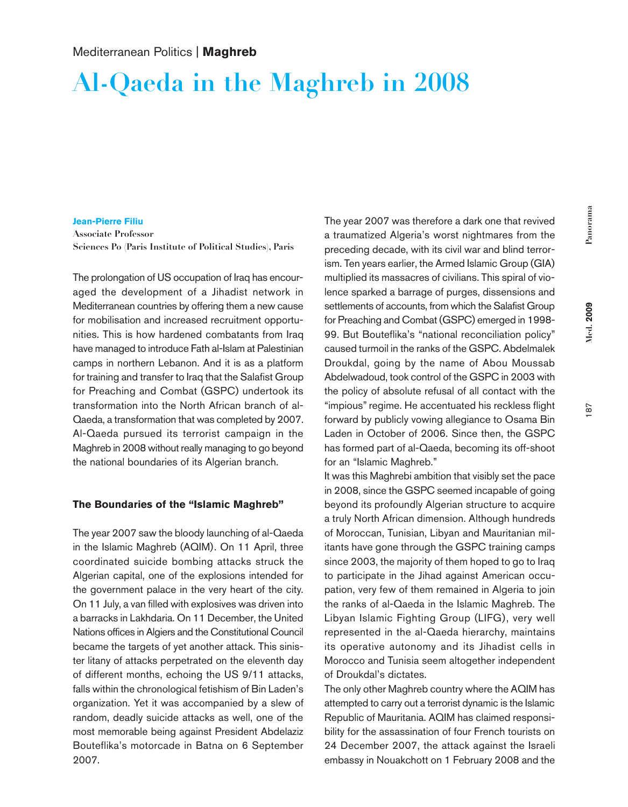# **Al-Qaeda in the Maghreb in 2008**

#### **Jean-Pierre Filiu**

**Associate Professor Sciences Po (Paris Institute of Political Studies), Paris**

The prolongation of US occupation of Iraq has encouraged the development of a Jihadist network in Mediterranean countries by offering them a new cause for mobilisation and increased recruitment opportunities. This is how hardened combatants from Iraq have managed to introduce Fath al-Islam at Palestinian camps in northern Lebanon. And it is as a platform for training and transfer to Iraq that the Salafist Group for Preaching and Combat (GSPC) undertook its transformation into the North African branch of al-Qaeda, a transformation that was completed by 2007. Al-Qaeda pursued its terrorist campaign in the Maghreb in 2008 without really managing to go beyond the national boundaries of its Algerian branch.

#### **The Boundaries of the "Islamic Maghreb"**

The year 2007 saw the bloody launching of al-Qaeda in the Islamic Maghreb (AQIM). On 11 April, three coordinated suicide bombing attacks struck the Algerian capital, one of the explosions intended for the government palace in the very heart of the city. On 11 July, a van filled with explosives was driven into a barracks in Lakhdaria. On 11 December, the United Nations offices in Algiers and the Constitutional Council became the targets of yet another attack. This sinister litany of attacks perpetrated on the eleventh day of different months, echoing the US 9/11 attacks, falls within the chronological fetishism of Bin Laden's organization. Yet it was accompanied by a slew of random, deadly suicide attacks as well, one of the most memorable being against President Abdelaziz Bouteflika's motorcade in Batna on 6 September 2007.

The year 2007 was therefore a dark one that revived a traumatized Algeria's worst nightmares from the preceding decade, with its civil war and blind terrorism. Ten years earlier, the Armed Islamic Group (GIA) multiplied its massacres of civilians. This spiral of violence sparked a barrage of purges, dissensions and settlements of accounts, from which the Salafist Group for Preaching and Combat (GSPC) emerged in 1998- 99. But Bouteflika's "national reconciliation policy" caused turmoil in the ranks of the GSPC. Abdelmalek Droukdal, going by the name of Abou Moussab Abdelwadoud, took control of the GSPC in 2003 with the policy of absolute refusal of all contact with the "impious"regime. He accentuated his reckless flight forward by publicly vowing allegiance to Osama Bin Laden in October of 2006. Since then, the GSPC has formed part of al-Qaeda, becoming its off-shoot for an "Islamic Maghreb."

It was this Maghrebi ambition that visibly set the pace in 2008, since the GSPC seemed incapable of going beyond its profoundly Algerian structure to acquire a truly North African dimension. Although hundreds of Moroccan, Tunisian, Libyan and Mauritanian militants have gone through the GSPC training camps since 2003, the majority of them hoped to go to Iraq to participate in the Jihad against American occupation, very few of them remained in Algeria to join the ranks of al-Qaeda in the Islamic Maghreb. The Libyan Islamic Fighting Group (LIFG), very well represented in the al-Qaeda hierarchy, maintains its operative autonomy and its Jihadist cells in Morocco and Tunisia seem altogether independent of Droukdal's dictates.

The only other Maghreb country where the AQIM has attempted to carry out a terrorist dynamic is the Islamic Republic of Mauritania. AQIM has claimed responsibility for the assassination of four French tourists on 24 December 2007, the attack against the Israeli embassy in Nouakchott on 1 February 2008 and the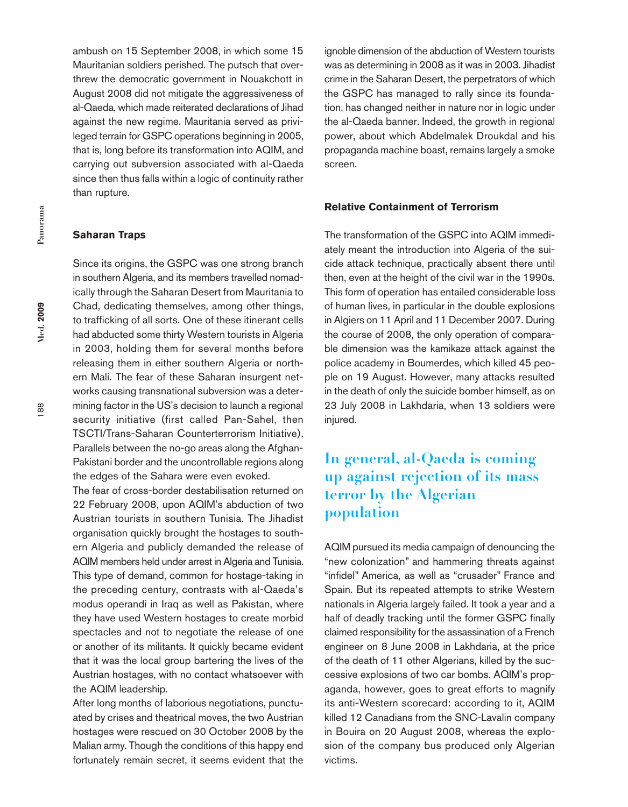ambush on 15 September 2008, in which some 15 Mauritanian soldiers perished. The putsch that overthrew the democratic government in Nouakchott in August 2008 did not mitigate the aggressiveness of al-Qaeda, which made reiterated declarations of Jihad against the new regime. Mauritania served as privileged terrain for GSPC operations beginning in 2005, that is, long before its transformation into AQIM, and carrying out subversion associated with al-Qaeda since then thus falls within a logic of continuity rather than rupture.

### **Saharan Traps**

Since its origins, the GSPC was one strong branch in southern Algeria, and its members travelled nomadically through the Saharan Desert from Mauritania to Chad, dedicating themselves, among other things, to trafficking of all sorts. One of these itinerant cells had abducted some thirty Western tourists in Algeria in 2003, holding them for several months before releasing them in either southern Algeria or northern Mali. The fear of these Saharan insurgent networks causing transnational subversion was a determining factor in the US's decision to launch a regional security initiative (first called Pan-Sahel, then TSCTI/Trans-Saharan Counterterrorism Initiative). Parallels between the no-go areas along the Afghan-Pakistani border and the uncontrollable regions along the edges of the Sahara were even evoked.

The fear of cross-border destabilisation returned on 22 February 2008, upon AQIM's abduction of two Austrian tourists in southern Tunisia. The Jihadist organisation quickly brought the hostages to southern Algeria and publicly demanded the release of AQIM members held under arrest in Algeria and Tunisia. This type of demand, common for hostage-taking in the preceding century, contrasts with al-Qaeda's modus operandi in Iraq as well as Pakistan, where they have used Western hostages to create morbid spectacles and not to negotiate the release of one or another of its militants. It quickly became evident that it was the local group bartering the lives of the Austrian hostages, with no contact whatsoever with the AQIM leadership.

After long months of laborious negotiations, punctuated by crises and theatrical moves, the two Austrian hostages were rescued on 30 October 2008 by the Malian army. Though the conditions of this happy end fortunately remain secret, it seems evident that the ignoble dimension of the abduction of Western tourists was as determining in 2008 as it was in 2003. Jihadist crime in the Saharan Desert, the perpetrators of which the GSPC has managed to rally since its foundation, has changed neither in nature nor in logic under the al-Qaeda banner. Indeed, the growth in regional power, about which Abdelmalek Droukdal and his propaganda machine boast, remains largely a smoke screen.

#### **Relative Containment of Terrorism**

The transformation of the GSPC into AQIM immediately meant the introduction into Algeria of the suicide attack technique, practically absent there until then, even at the height of the civil war in the 1990s. This form of operation has entailed considerable loss of human lives, in particular in the double explosions in Algiers on 11 April and 11 December 2007. During the course of 2008, the only operation of comparable dimension was the kamikaze attack against the police academy in Boumerdes, which killed 45 people on 19 August. However, many attacks resulted in the death of only the suicide bomber himself, as on 23 July 2008 in Lakhdaria, when 13 soldiers were injured.

# **In general, al-Qaeda is coming up against rejection of its mass terror by the Algerian population**

AQIM pursued its media campaign of denouncing the "new colonization" and hammering threats against "infidel" America, as well as "crusader" France and Spain. But its repeated attempts to strike Western nationals in Algeria largely failed. It took a year and a half of deadly tracking until the former GSPC finally claimed responsibility for the assassination of a French engineer on 8 June 2008 in Lakhdaria, at the price of the death of 11 other Algerians, killed by the successive explosions of two car bombs. AQIM's propaganda, however, goes to great efforts to magnify its anti-Western scorecard: according to it, AQIM killed 12 Canadians from the SNC-Lavalin company in Bouira on 20 August 2008, whereas the explosion of the company bus produced only Algerian victims.

188

**Med. 2009**

**Med.** 2009